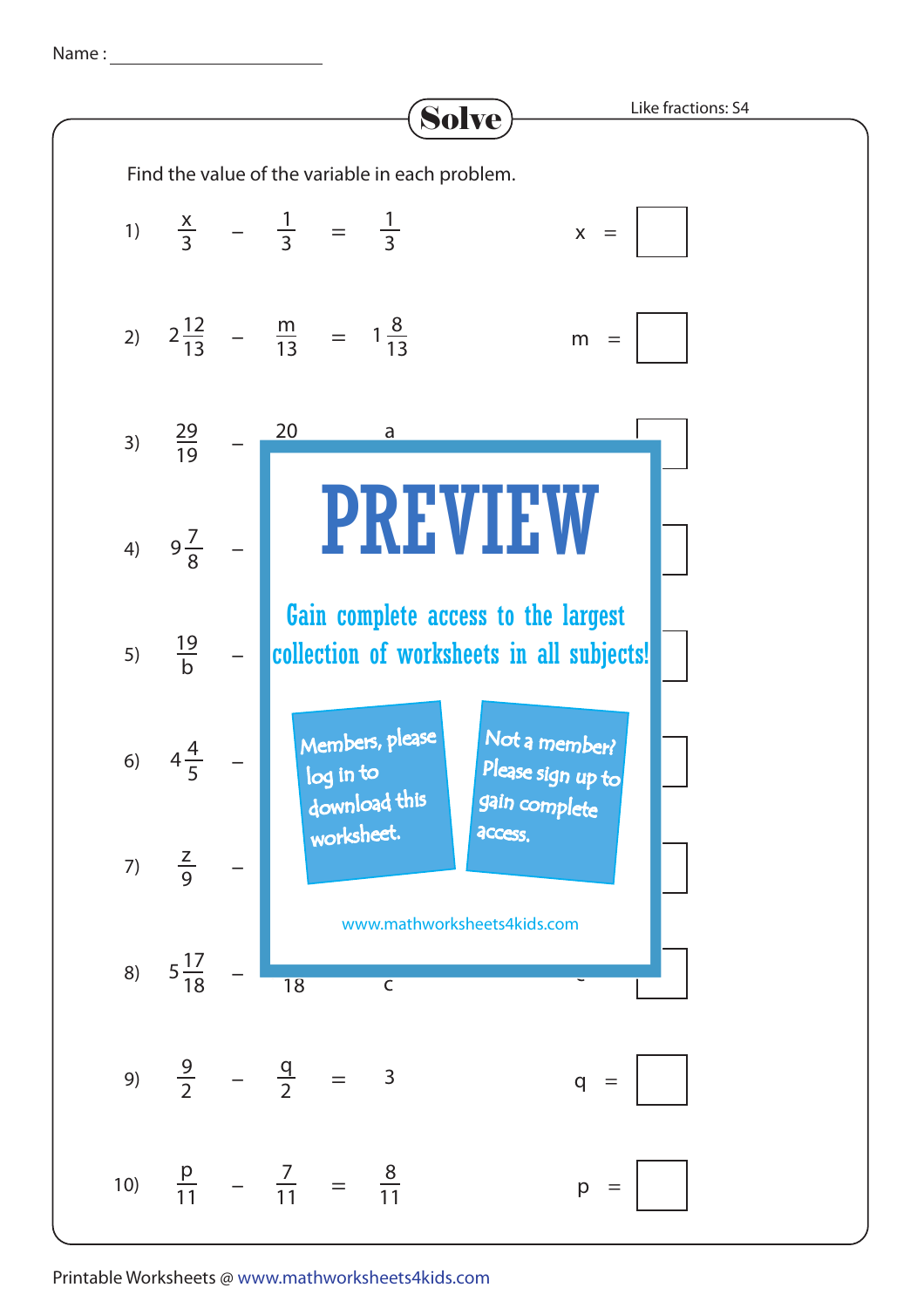